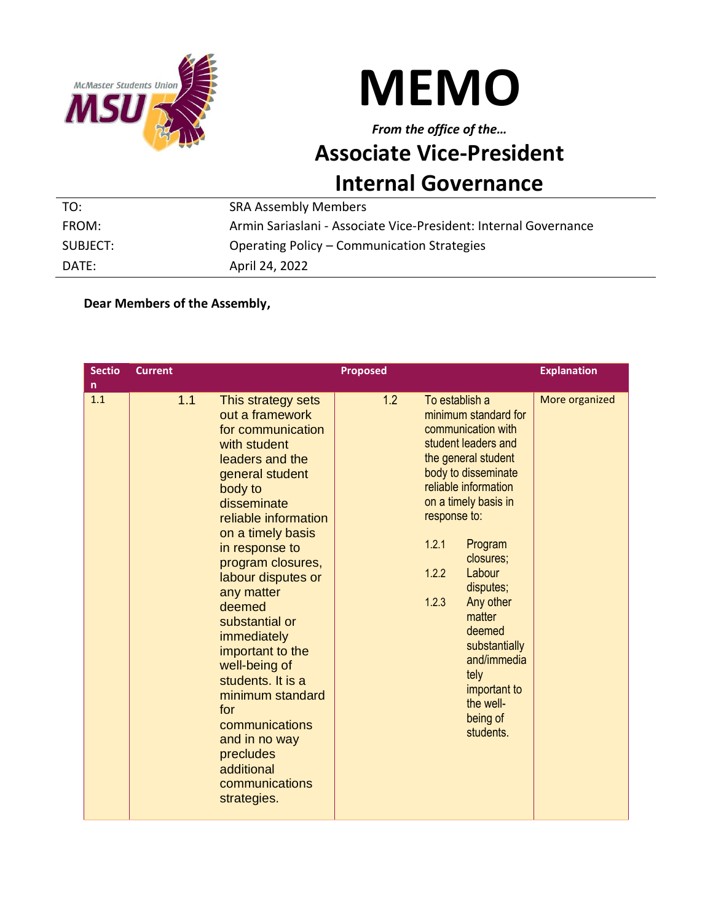



## *From the office of the…* **Associate Vice-President Internal Governance**

| TO:      | <b>SRA Assembly Members</b>                                      |
|----------|------------------------------------------------------------------|
| FROM:    | Armin Sariaslani - Associate Vice-President: Internal Governance |
| SUBJECT: | Operating Policy – Communication Strategies                      |
| DATE:    | April 24, 2022                                                   |

## **Dear Members of the Assembly,**

| <b>Sectio</b><br>n. | <b>Current</b> |                                                                                                                                                                                                                                                                                                                                                                                                                                                                                                   | <b>Proposed</b> |                                                           |                                                                                                                                                                                                                                                                                                                                               | <b>Explanation</b> |
|---------------------|----------------|---------------------------------------------------------------------------------------------------------------------------------------------------------------------------------------------------------------------------------------------------------------------------------------------------------------------------------------------------------------------------------------------------------------------------------------------------------------------------------------------------|-----------------|-----------------------------------------------------------|-----------------------------------------------------------------------------------------------------------------------------------------------------------------------------------------------------------------------------------------------------------------------------------------------------------------------------------------------|--------------------|
| 1.1                 | 1.1            | This strategy sets<br>out a framework<br>for communication<br>with student<br>leaders and the<br>general student<br>body to<br>disseminate<br>reliable information<br>on a timely basis<br>in response to<br>program closures,<br>labour disputes or<br>any matter<br>deemed<br>substantial or<br>immediately<br>important to the<br>well-being of<br>students. It is a<br>minimum standard<br>for<br>communications<br>and in no way<br>precludes<br>additional<br>communications<br>strategies. | 1.2             | To establish a<br>response to:<br>1.2.1<br>1.2.2<br>1.2.3 | minimum standard for<br>communication with<br>student leaders and<br>the general student<br>body to disseminate<br>reliable information<br>on a timely basis in<br>Program<br>closures;<br>Labour<br>disputes;<br>Any other<br>matter<br>deemed<br>substantially<br>and/immedia<br>tely<br>important to<br>the well-<br>being of<br>students. | More organized     |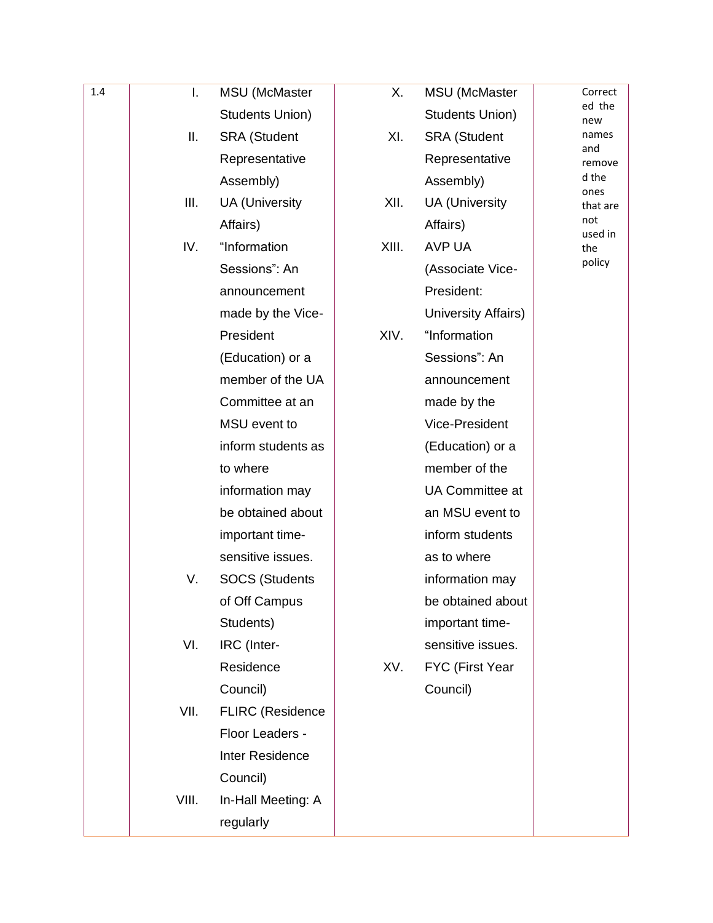| 1.4 | I.    | <b>MSU</b> (McMaster    | Х.    | <b>MSU</b> (McMaster  | Correct        |
|-----|-------|-------------------------|-------|-----------------------|----------------|
|     |       | Students Union)         |       | Students Union)       | ed the<br>new  |
|     | Ш.    | <b>SRA</b> (Student     | XI.   | <b>SRA</b> (Student   | names          |
|     |       | Representative          |       | Representative        | and<br>remove  |
|     |       | Assembly)               |       | Assembly)             | d the<br>ones  |
|     | Ш.    | <b>UA</b> (University   | XII.  | <b>UA</b> (University | that are       |
|     |       | Affairs)                |       | Affairs)              | not<br>used in |
|     | IV.   | "Information            | XIII. | <b>AVP UA</b>         | the            |
|     |       | Sessions": An           |       | (Associate Vice-      | policy         |
|     |       | announcement            |       | President:            |                |
|     |       | made by the Vice-       |       | University Affairs)   |                |
|     |       | President               | XIV.  | "Information          |                |
|     |       | (Education) or a        |       | Sessions": An         |                |
|     |       | member of the UA        |       | announcement          |                |
|     |       | Committee at an         |       | made by the           |                |
|     |       | MSU event to            |       | Vice-President        |                |
|     |       | inform students as      |       | (Education) or a      |                |
|     |       | to where                |       | member of the         |                |
|     |       | information may         |       | UA Committee at       |                |
|     |       | be obtained about       |       | an MSU event to       |                |
|     |       | important time-         |       | inform students       |                |
|     |       | sensitive issues.       |       | as to where           |                |
|     | V.    | <b>SOCS (Students</b>   |       | information may       |                |
|     |       | of Off Campus           |       | be obtained about     |                |
|     |       | Students)               |       | important time-       |                |
|     | VI.   | IRC (Inter-             |       | sensitive issues.     |                |
|     |       | Residence               | XV.   | FYC (First Year       |                |
|     |       | Council)                |       | Council)              |                |
|     | VII.  | <b>FLIRC</b> (Residence |       |                       |                |
|     |       | Floor Leaders -         |       |                       |                |
|     |       | Inter Residence         |       |                       |                |
|     |       | Council)                |       |                       |                |
|     | VIII. | In-Hall Meeting: A      |       |                       |                |
|     |       | regularly               |       |                       |                |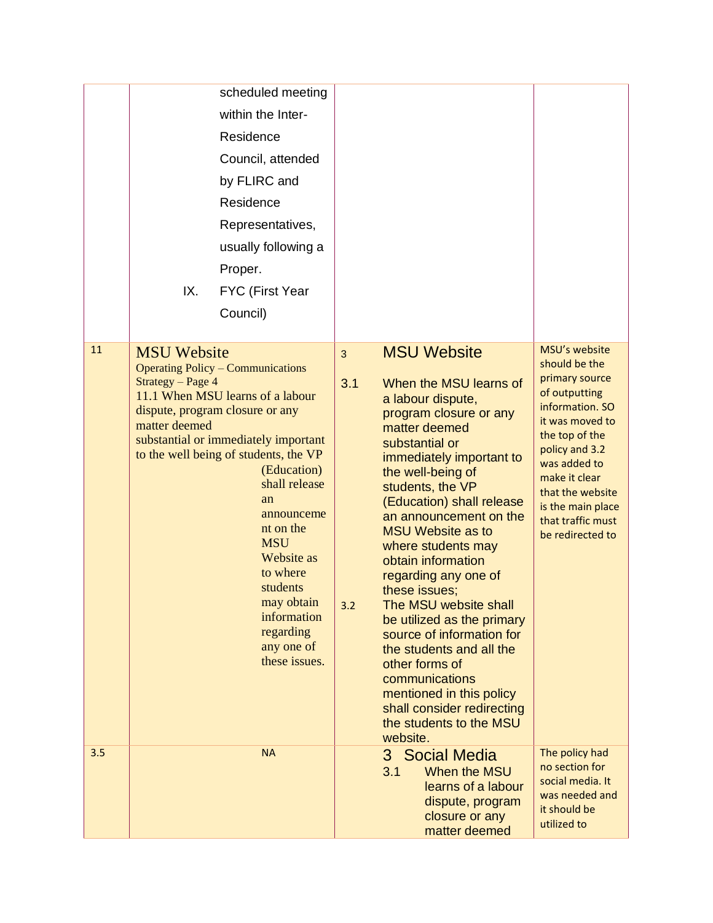|     | scheduled meeting<br>within the Inter-<br>Residence<br>Council, attended<br>by FLIRC and<br>Residence<br>Representatives,<br>usually following a                                                                                                                                                                                                                                                                                                           |                                                                                                                                                                                                                                                                                                                                                                                                                                                                                                                                                                                                                                                     |                                                                                                                                                                                                                                                                |
|-----|------------------------------------------------------------------------------------------------------------------------------------------------------------------------------------------------------------------------------------------------------------------------------------------------------------------------------------------------------------------------------------------------------------------------------------------------------------|-----------------------------------------------------------------------------------------------------------------------------------------------------------------------------------------------------------------------------------------------------------------------------------------------------------------------------------------------------------------------------------------------------------------------------------------------------------------------------------------------------------------------------------------------------------------------------------------------------------------------------------------------------|----------------------------------------------------------------------------------------------------------------------------------------------------------------------------------------------------------------------------------------------------------------|
|     | Proper.<br>IX.<br>FYC (First Year<br>Council)                                                                                                                                                                                                                                                                                                                                                                                                              |                                                                                                                                                                                                                                                                                                                                                                                                                                                                                                                                                                                                                                                     |                                                                                                                                                                                                                                                                |
| 11  | <b>MSU</b> Website<br><b>Operating Policy – Communications</b><br>Strategy - Page 4<br>11.1 When MSU learns of a labour<br>dispute, program closure or any<br>matter deemed<br>substantial or immediately important<br>to the well being of students, the VP<br>(Education)<br>shall release<br>an<br>announceme<br>nt on the<br><b>MSU</b><br>Website as<br>to where<br>students<br>may obtain<br>information<br>regarding<br>any one of<br>these issues. | <b>MSU Website</b><br>3<br>3.1<br>When the MSU learns of<br>a labour dispute,<br>program closure or any<br>matter deemed<br>substantial or<br>immediately important to<br>the well-being of<br>students, the VP<br>(Education) shall release<br>an announcement on the<br><b>MSU Website as to</b><br>where students may<br>obtain information<br>regarding any one of<br>these issues;<br>The MSU website shall<br>3.2<br>be utilized as the primary<br>source of information for<br>the students and all the<br>other forms of<br>communications<br>mentioned in this policy<br>shall consider redirecting<br>the students to the MSU<br>website. | MSU's website<br>should be the<br>primary source<br>of outputting<br>information. SO<br>it was moved to<br>the top of the<br>policy and 3.2<br>was added to<br>make it clear<br>that the website<br>is the main place<br>that traffic must<br>be redirected to |
| 3.5 | <b>NA</b>                                                                                                                                                                                                                                                                                                                                                                                                                                                  | 3 Social Media<br>3.1<br>When the MSU<br>learns of a labour<br>dispute, program<br>closure or any<br>matter deemed                                                                                                                                                                                                                                                                                                                                                                                                                                                                                                                                  | The policy had<br>no section for<br>social media. It<br>was needed and<br>it should be<br>utilized to                                                                                                                                                          |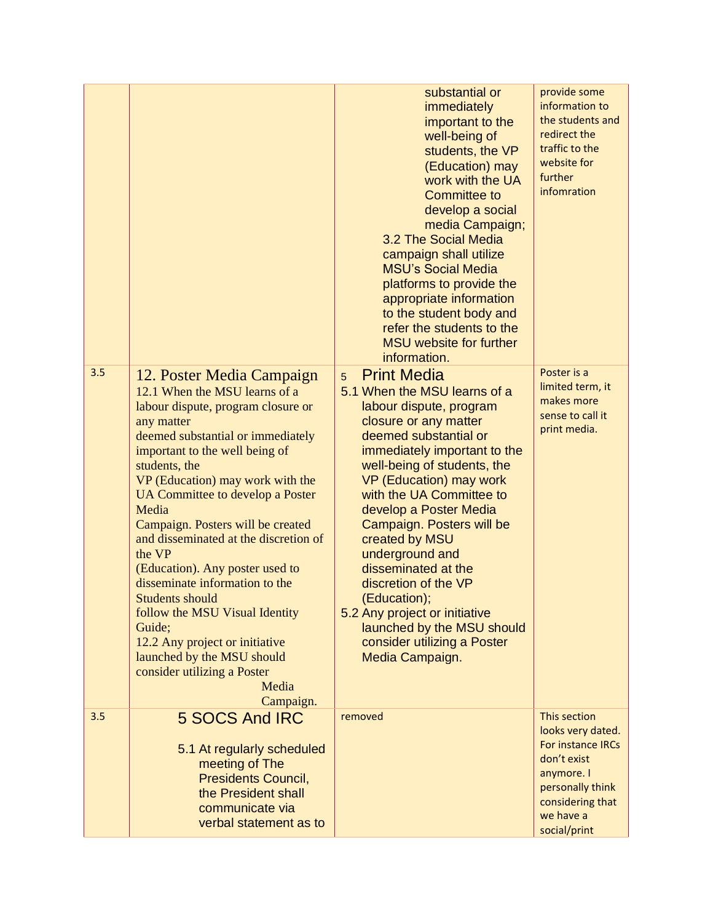|     |                                                                                                                                                                                                                                                                                                                                                                                                                                                                                                                                                                                                                                                 | substantial or<br>immediately<br>important to the<br>well-being of<br>students, the VP<br>(Education) may<br>work with the UA<br><b>Committee to</b><br>develop a social<br>media Campaign;<br>3.2 The Social Media<br>campaign shall utilize<br><b>MSU's Social Media</b><br>platforms to provide the<br>appropriate information<br>to the student body and<br>refer the students to the<br><b>MSU</b> website for further<br>information.                                                                                            | provide some<br>information to<br>the students and<br>redirect the<br>traffic to the<br>website for<br>further<br>infomration                            |
|-----|-------------------------------------------------------------------------------------------------------------------------------------------------------------------------------------------------------------------------------------------------------------------------------------------------------------------------------------------------------------------------------------------------------------------------------------------------------------------------------------------------------------------------------------------------------------------------------------------------------------------------------------------------|----------------------------------------------------------------------------------------------------------------------------------------------------------------------------------------------------------------------------------------------------------------------------------------------------------------------------------------------------------------------------------------------------------------------------------------------------------------------------------------------------------------------------------------|----------------------------------------------------------------------------------------------------------------------------------------------------------|
| 3.5 | 12. Poster Media Campaign<br>12.1 When the MSU learns of a<br>labour dispute, program closure or<br>any matter<br>deemed substantial or immediately<br>important to the well being of<br>students, the<br>VP (Education) may work with the<br>UA Committee to develop a Poster<br>Media<br>Campaign. Posters will be created<br>and disseminated at the discretion of<br>the VP<br>(Education). Any poster used to<br>disseminate information to the<br><b>Students should</b><br>follow the MSU Visual Identity<br>Guide:<br>12.2 Any project or initiative<br>launched by the MSU should<br>consider utilizing a Poster<br>Media<br>Campaign. | <b>Print Media</b><br>5<br>5.1 When the MSU learns of a<br>labour dispute, program<br>closure or any matter<br>deemed substantial or<br>immediately important to the<br>well-being of students, the<br>VP (Education) may work<br>with the UA Committee to<br>develop a Poster Media<br>Campaign. Posters will be<br>created by MSU<br>underground and<br>disseminated at the<br>discretion of the VP<br>(Education);<br>5.2 Any project or initiative<br>launched by the MSU should<br>consider utilizing a Poster<br>Media Campaign. | Poster is a<br>limited term, it<br>makes more<br>sense to call it<br>print media.                                                                        |
| 3.5 | 5 SOCS And IRC<br>5.1 At regularly scheduled<br>meeting of The<br><b>Presidents Council,</b><br>the President shall<br>communicate via<br>verbal statement as to                                                                                                                                                                                                                                                                                                                                                                                                                                                                                | removed                                                                                                                                                                                                                                                                                                                                                                                                                                                                                                                                | This section<br>looks very dated.<br>For instance IRCs<br>don't exist<br>anymore. I<br>personally think<br>considering that<br>we have a<br>social/print |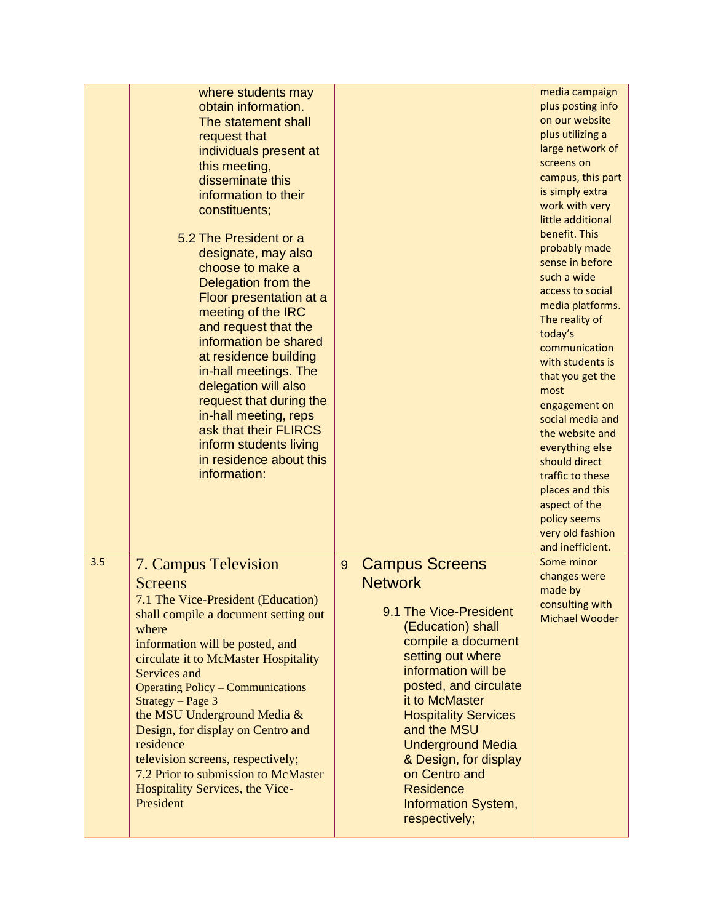|     | where students may<br>obtain information.<br>The statement shall<br>request that<br>individuals present at<br>this meeting,<br>disseminate this<br>information to their<br>constituents;<br>5.2 The President or a<br>designate, may also<br>choose to make a<br>Delegation from the<br>Floor presentation at a<br>meeting of the IRC<br>and request that the<br>information be shared<br>at residence building<br>in-hall meetings. The<br>delegation will also<br>request that during the<br>in-hall meeting, reps<br>ask that their FLIRCS<br>inform students living<br>in residence about this<br>information: |                                                                                                                                                                                                                                                                                                                                                                                                              | media campaign<br>plus posting info<br>on our website<br>plus utilizing a<br>large network of<br>screens on<br>campus, this part<br>is simply extra<br>work with very<br>little additional<br>benefit. This<br>probably made<br>sense in before<br>such a wide<br>access to social<br>media platforms.<br>The reality of<br>today's<br>communication<br>with students is<br>that you get the<br>most<br>engagement on<br>social media and<br>the website and<br>everything else<br>should direct<br>traffic to these<br>places and this<br>aspect of the<br>policy seems<br>very old fashion<br>and inefficient. |
|-----|--------------------------------------------------------------------------------------------------------------------------------------------------------------------------------------------------------------------------------------------------------------------------------------------------------------------------------------------------------------------------------------------------------------------------------------------------------------------------------------------------------------------------------------------------------------------------------------------------------------------|--------------------------------------------------------------------------------------------------------------------------------------------------------------------------------------------------------------------------------------------------------------------------------------------------------------------------------------------------------------------------------------------------------------|------------------------------------------------------------------------------------------------------------------------------------------------------------------------------------------------------------------------------------------------------------------------------------------------------------------------------------------------------------------------------------------------------------------------------------------------------------------------------------------------------------------------------------------------------------------------------------------------------------------|
| 3.5 | <b>7. Campus Television</b><br><b>Screens</b><br>7.1 The Vice-President (Education)<br>shall compile a document setting out<br>where<br>information will be posted, and<br>circulate it to McMaster Hospitality<br>Services and<br><b>Operating Policy – Communications</b><br>$Strategy - Page 3$<br>the MSU Underground Media &<br>Design, for display on Centro and<br>residence<br>television screens, respectively;<br>7.2 Prior to submission to McMaster<br>Hospitality Services, the Vice-<br>President                                                                                                    | <b>Campus Screens</b><br>$\overline{9}$<br><b>Network</b><br>9.1 The Vice-President<br>(Education) shall<br>compile a document<br>setting out where<br>information will be<br>posted, and circulate<br>it to McMaster<br><b>Hospitality Services</b><br>and the MSU<br><b>Underground Media</b><br>& Design, for display<br>on Centro and<br><b>Residence</b><br><b>Information System,</b><br>respectively; | Some minor<br>changes were<br>made by<br>consulting with<br><b>Michael Wooder</b>                                                                                                                                                                                                                                                                                                                                                                                                                                                                                                                                |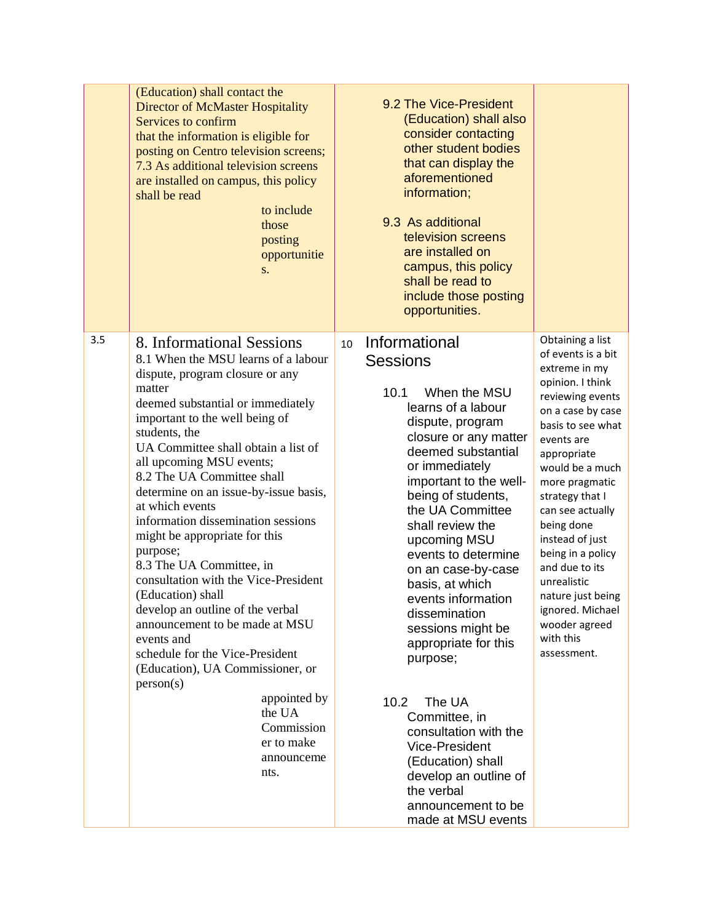|     | (Education) shall contact the<br>Director of McMaster Hospitality<br>Services to confirm<br>that the information is eligible for<br>posting on Centro television screens;<br>7.3 As additional television screens<br>are installed on campus, this policy<br>shall be read<br>to include<br>those<br>posting<br>opportunitie<br>S.                                                                                                                                                                                                                                                                                                                                                                                                                                                                 | 9.2 The Vice-President<br>(Education) shall also<br>consider contacting<br>other student bodies<br>that can display the<br>aforementioned<br>information;<br>9.3 As additional<br>television screens<br>are installed on<br>campus, this policy<br>shall be read to<br>include those posting<br>opportunities.                                                                                                                                                                                                                                                                                                                          |                                                                                                                                                                                                                                                                                                                                                                                                                                 |
|-----|----------------------------------------------------------------------------------------------------------------------------------------------------------------------------------------------------------------------------------------------------------------------------------------------------------------------------------------------------------------------------------------------------------------------------------------------------------------------------------------------------------------------------------------------------------------------------------------------------------------------------------------------------------------------------------------------------------------------------------------------------------------------------------------------------|-----------------------------------------------------------------------------------------------------------------------------------------------------------------------------------------------------------------------------------------------------------------------------------------------------------------------------------------------------------------------------------------------------------------------------------------------------------------------------------------------------------------------------------------------------------------------------------------------------------------------------------------|---------------------------------------------------------------------------------------------------------------------------------------------------------------------------------------------------------------------------------------------------------------------------------------------------------------------------------------------------------------------------------------------------------------------------------|
| 3.5 | 8. Informational Sessions<br>8.1 When the MSU learns of a labour<br>dispute, program closure or any<br>matter<br>deemed substantial or immediately<br>important to the well being of<br>students, the<br>UA Committee shall obtain a list of<br>all upcoming MSU events;<br>8.2 The UA Committee shall<br>determine on an issue-by-issue basis,<br>at which events<br>information dissemination sessions<br>might be appropriate for this<br>purpose;<br>8.3 The UA Committee, in<br>consultation with the Vice-President<br>(Education) shall<br>develop an outline of the verbal<br>announcement to be made at MSU<br>events and<br>schedule for the Vice-President<br>(Education), UA Commissioner, or<br>person(s)<br>appointed by<br>the UA<br>Commission<br>er to make<br>announceme<br>nts. | Informational<br>10<br><b>Sessions</b><br>10.1<br>When the MSU<br>learns of a labour<br>dispute, program<br>closure or any matter<br>deemed substantial<br>or immediately<br>important to the well-<br>being of students,<br>the UA Committee<br>shall review the<br>upcoming MSU<br>events to determine<br>on an case-by-case<br>basis, at which<br>events information<br>dissemination<br>sessions might be<br>appropriate for this<br>purpose;<br>The UA<br>10.2<br>Committee, in<br>consultation with the<br>Vice-President<br>(Education) shall<br>develop an outline of<br>the verbal<br>announcement to be<br>made at MSU events | Obtaining a list<br>of events is a bit<br>extreme in my<br>opinion. I think<br>reviewing events<br>on a case by case<br>basis to see what<br>events are<br>appropriate<br>would be a much<br>more pragmatic<br>strategy that I<br>can see actually<br>being done<br>instead of just<br>being in a policy<br>and due to its<br>unrealistic<br>nature just being<br>ignored. Michael<br>wooder agreed<br>with this<br>assessment. |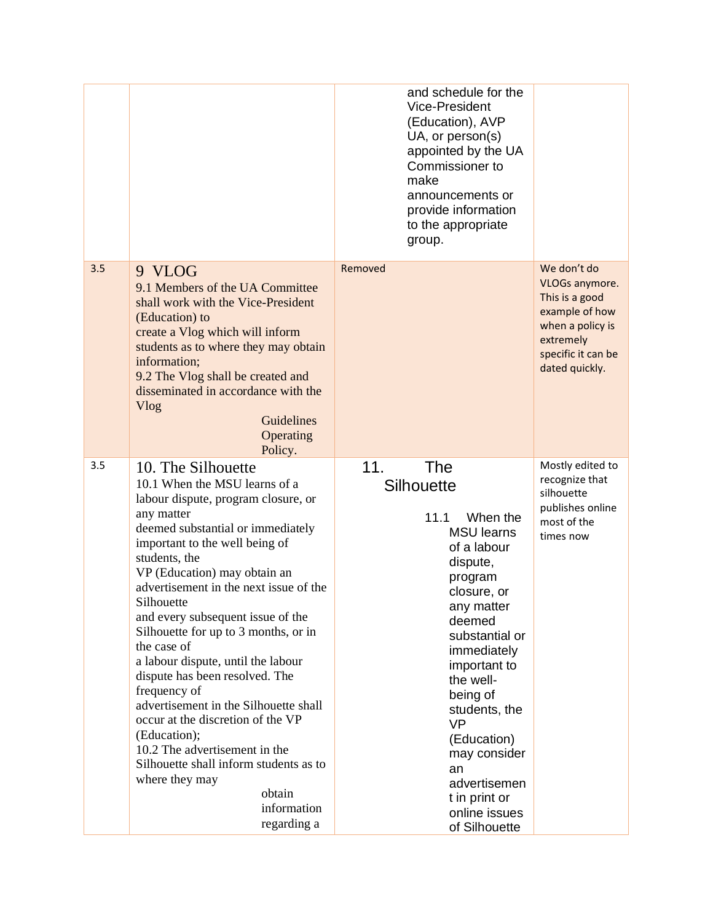|     |                                                                                                                                                                                                                                                                                                                                                                                                                                                                                                                                                                                                                                                                                                                 | and schedule for the<br><b>Vice-President</b><br>(Education), AVP<br>UA, or person(s)<br>appointed by the UA<br>Commissioner to<br>make<br>announcements or<br>provide information<br>to the appropriate<br>group.                                                                                                                                                    |                                                                                                                                            |
|-----|-----------------------------------------------------------------------------------------------------------------------------------------------------------------------------------------------------------------------------------------------------------------------------------------------------------------------------------------------------------------------------------------------------------------------------------------------------------------------------------------------------------------------------------------------------------------------------------------------------------------------------------------------------------------------------------------------------------------|-----------------------------------------------------------------------------------------------------------------------------------------------------------------------------------------------------------------------------------------------------------------------------------------------------------------------------------------------------------------------|--------------------------------------------------------------------------------------------------------------------------------------------|
| 3.5 | 9 VLOG<br>9.1 Members of the UA Committee<br>shall work with the Vice-President<br>(Education) to<br>create a Vlog which will inform<br>students as to where they may obtain<br>information;<br>9.2 The Vlog shall be created and<br>disseminated in accordance with the<br>Vlog<br>Guidelines<br>Operating<br>Policy.                                                                                                                                                                                                                                                                                                                                                                                          | Removed                                                                                                                                                                                                                                                                                                                                                               | We don't do<br>VLOGs anymore.<br>This is a good<br>example of how<br>when a policy is<br>extremely<br>specific it can be<br>dated quickly. |
| 3.5 | 10. The Silhouette<br>10.1 When the MSU learns of a<br>labour dispute, program closure, or<br>any matter<br>deemed substantial or immediately<br>important to the well being of<br>students, the<br>VP (Education) may obtain an<br>advertisement in the next issue of the<br>Silhouette<br>and every subsequent issue of the<br>Silhouette for up to 3 months, or in<br>the case of<br>a labour dispute, until the labour<br>dispute has been resolved. The<br>frequency of<br>advertisement in the Silhouette shall<br>occur at the discretion of the VP<br>(Education);<br>10.2 The advertisement in the<br>Silhouette shall inform students as to<br>where they may<br>obtain<br>information<br>regarding a | <b>The</b><br>11.<br>Silhouette<br>11.1<br>When the<br><b>MSU</b> learns<br>of a labour<br>dispute,<br>program<br>closure, or<br>any matter<br>deemed<br>substantial or<br>immediately<br>important to<br>the well-<br>being of<br>students, the<br><b>VP</b><br>(Education)<br>may consider<br>an<br>advertisemen<br>t in print or<br>online issues<br>of Silhouette | Mostly edited to<br>recognize that<br>silhouette<br>publishes online<br>most of the<br>times now                                           |